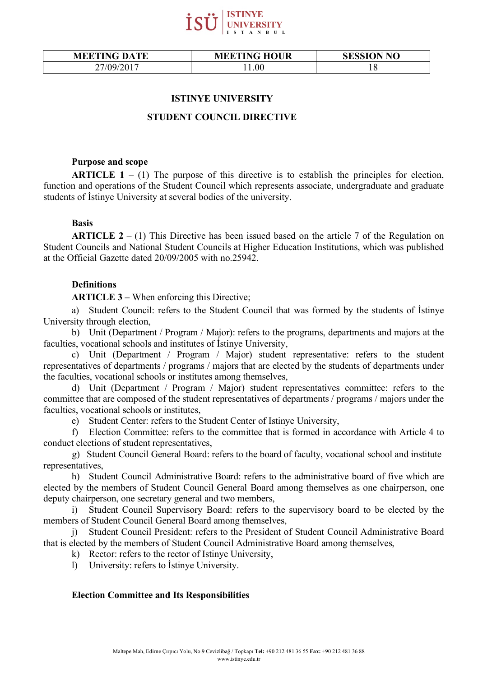

| <b>MEETING DATE</b> | <b>MEETING HOUR</b> | <b>SESSION NO</b> |
|---------------------|---------------------|-------------------|
| 27/09/2017          | l 1.00              | 10                |

### **ISTINYE UNIVERSITY**

### **STUDENT COUNCIL DIRECTIVE**

#### **Purpose and scope**

**ARTICLE**  $1 - (1)$  The purpose of this directive is to establish the principles for election, function and operations of the Student Council which represents associate, undergraduate and graduate students of İstinye University at several bodies of the university.

# **Basis**

**ARTICLE 2** – (1) This Directive has been issued based on the article 7 of the Regulation on Student Councils and National Student Councils at Higher Education Institutions, which was published at the Official Gazette dated 20/09/2005 with no.25942.

# **Definitions**

**ARTICLE 3 –** When enforcing this Directive;

a) Student Council: refers to the Student Council that was formed by the students of İstinye University through election,

b) Unit (Department / Program / Major): refers to the programs, departments and majors at the faculties, vocational schools and institutes of İstinye University,

c) Unit (Department / Program / Major) student representative: refers to the student representatives of departments / programs / majors that are elected by the students of departments under the faculties, vocational schools or institutes among themselves,

d) Unit (Department / Program / Major) student representatives committee: refers to the committee that are composed of the student representatives of departments / programs / majors under the faculties, vocational schools or institutes,

e) Student Center: refers to the Student Center of Istinye University,

f) Election Committee: refers to the committee that is formed in accordance with Article 4 to conduct elections of student representatives,

g) Student Council General Board: refers to the board of faculty, vocational school and institute representatives,

h) Student Council Administrative Board: refers to the administrative board of five which are elected by the members of Student Council General Board among themselves as one chairperson, one deputy chairperson, one secretary general and two members,

i) Student Council Supervisory Board: refers to the supervisory board to be elected by the members of Student Council General Board among themselves,

j) Student Council President: refers to the President of Student Council Administrative Board that is elected by the members of Student Council Administrative Board among themselves,

- k) Rector: refers to the rector of Istinye University,
- l) University: refers to İstinye University.

### **Election Committee and Its Responsibilities**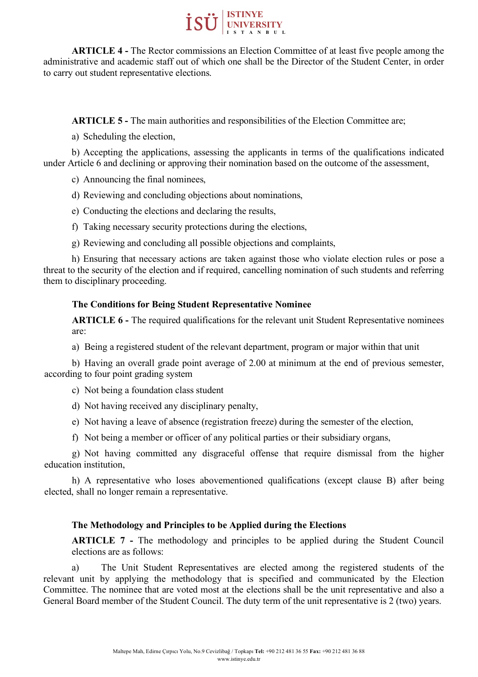

**ARTICLE 4 -** The Rector commissions an Election Committee of at least five people among the administrative and academic staff out of which one shall be the Director of the Student Center, in order to carry out student representative elections.

**ARTICLE 5 -** The main authorities and responsibilities of the Election Committee are;

a) Scheduling the election,

b) Accepting the applications, assessing the applicants in terms of the qualifications indicated under Article 6 and declining or approving their nomination based on the outcome of the assessment,

c) Announcing the final nominees,

d) Reviewing and concluding objections about nominations,

e) Conducting the elections and declaring the results,

f) Taking necessary security protections during the elections,

g) Reviewing and concluding all possible objections and complaints,

h) Ensuring that necessary actions are taken against those who violate election rules or pose a threat to the security of the election and if required, cancelling nomination of such students and referring them to disciplinary proceeding.

# **The Conditions for Being Student Representative Nominee**

**ARTICLE 6 -** The required qualifications for the relevant unit Student Representative nominees are:

a) Being a registered student of the relevant department, program or major within that unit

b) Having an overall grade point average of 2.00 at minimum at the end of previous semester, according to four point grading system

c) Not being a foundation class student

d) Not having received any disciplinary penalty,

e) Not having a leave of absence (registration freeze) during the semester of the election,

f) Not being a member or officer of any political parties or their subsidiary organs,

g) Not having committed any disgraceful offense that require dismissal from the higher education institution,

h) A representative who loses abovementioned qualifications (except clause B) after being elected, shall no longer remain a representative.

# **The Methodology and Principles to be Applied during the Elections**

**ARTICLE 7 -** The methodology and principles to be applied during the Student Council elections are as follows:

a) The Unit Student Representatives are elected among the registered students of the relevant unit by applying the methodology that is specified and communicated by the Election Committee. The nominee that are voted most at the elections shall be the unit representative and also a General Board member of the Student Council. The duty term of the unit representative is 2 (two) years.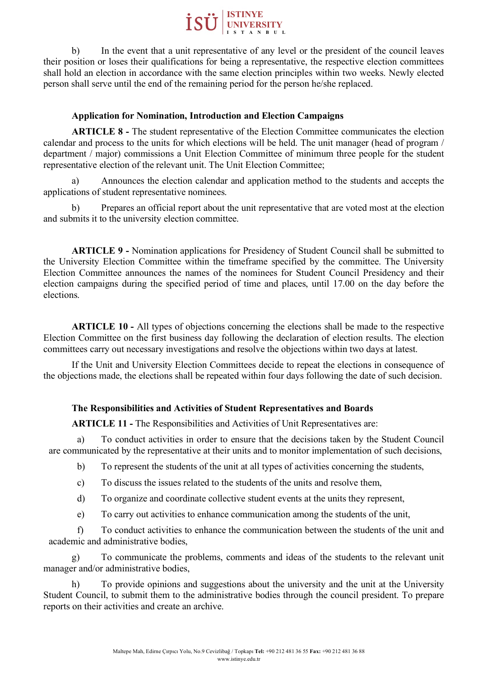

b) In the event that a unit representative of any level or the president of the council leaves their position or loses their qualifications for being a representative, the respective election committees shall hold an election in accordance with the same election principles within two weeks. Newly elected person shall serve until the end of the remaining period for the person he/she replaced.

# **Application for Nomination, Introduction and Election Campaigns**

**ARTICLE 8 -** The student representative of the Election Committee communicates the election calendar and process to the units for which elections will be held. The unit manager (head of program / department / major) commissions a Unit Election Committee of minimum three people for the student representative election of the relevant unit. The Unit Election Committee;

a) Announces the election calendar and application method to the students and accepts the applications of student representative nominees.

b) Prepares an official report about the unit representative that are voted most at the election and submits it to the university election committee.

**ARTICLE 9 -** Nomination applications for Presidency of Student Council shall be submitted to the University Election Committee within the timeframe specified by the committee. The University Election Committee announces the names of the nominees for Student Council Presidency and their election campaigns during the specified period of time and places, until 17.00 on the day before the elections.

**ARTICLE 10 -** All types of objections concerning the elections shall be made to the respective Election Committee on the first business day following the declaration of election results. The election committees carry out necessary investigations and resolve the objections within two days at latest.

If the Unit and University Election Committees decide to repeat the elections in consequence of the objections made, the elections shall be repeated within four days following the date of such decision.

# **The Responsibilities and Activities of Student Representatives and Boards**

**ARTICLE 11 -** The Responsibilities and Activities of Unit Representatives are:

a) To conduct activities in order to ensure that the decisions taken by the Student Council are communicated by the representative at their units and to monitor implementation of such decisions,

- b) To represent the students of the unit at all types of activities concerning the students,
- c) To discuss the issues related to the students of the units and resolve them,
- d) To organize and coordinate collective student events at the units they represent,
- e) To carry out activities to enhance communication among the students of the unit,

f) To conduct activities to enhance the communication between the students of the unit and academic and administrative bodies,

g) To communicate the problems, comments and ideas of the students to the relevant unit manager and/or administrative bodies,

h) To provide opinions and suggestions about the university and the unit at the University Student Council, to submit them to the administrative bodies through the council president. To prepare reports on their activities and create an archive.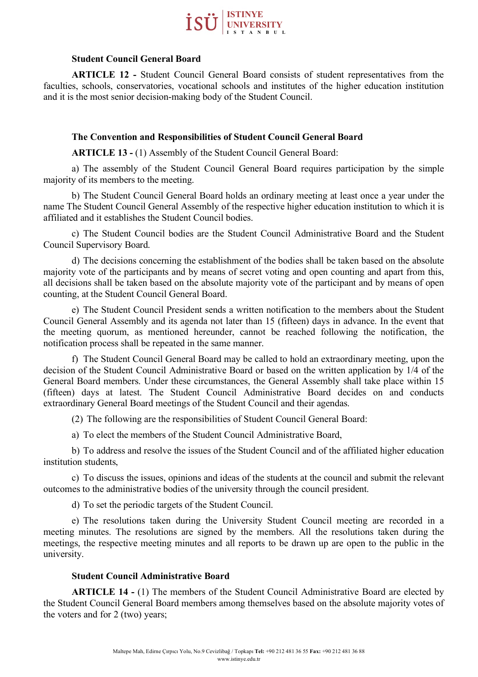

### **Student Council General Board**

**ARTICLE 12 -** Student Council General Board consists of student representatives from the faculties, schools, conservatories, vocational schools and institutes of the higher education institution and it is the most senior decision-making body of the Student Council.

## **The Convention and Responsibilities of Student Council General Board**

**ARTICLE 13 -** (1) Assembly of the Student Council General Board:

a) The assembly of the Student Council General Board requires participation by the simple majority of its members to the meeting.

b) The Student Council General Board holds an ordinary meeting at least once a year under the name The Student Council General Assembly of the respective higher education institution to which it is affiliated and it establishes the Student Council bodies.

c) The Student Council bodies are the Student Council Administrative Board and the Student Council Supervisory Board.

d) The decisions concerning the establishment of the bodies shall be taken based on the absolute majority vote of the participants and by means of secret voting and open counting and apart from this, all decisions shall be taken based on the absolute majority vote of the participant and by means of open counting, at the Student Council General Board.

e) The Student Council President sends a written notification to the members about the Student Council General Assembly and its agenda not later than 15 (fifteen) days in advance. In the event that the meeting quorum, as mentioned hereunder, cannot be reached following the notification, the notification process shall be repeated in the same manner.

f) The Student Council General Board may be called to hold an extraordinary meeting, upon the decision of the Student Council Administrative Board or based on the written application by 1/4 of the General Board members. Under these circumstances, the General Assembly shall take place within 15 (fifteen) days at latest. The Student Council Administrative Board decides on and conducts extraordinary General Board meetings of the Student Council and their agendas.

(2) The following are the responsibilities of Student Council General Board:

a) To elect the members of the Student Council Administrative Board,

b) To address and resolve the issues of the Student Council and of the affiliated higher education institution students,

c) To discuss the issues, opinions and ideas of the students at the council and submit the relevant outcomes to the administrative bodies of the university through the council president.

d) To set the periodic targets of the Student Council.

e) The resolutions taken during the University Student Council meeting are recorded in a meeting minutes. The resolutions are signed by the members. All the resolutions taken during the meetings, the respective meeting minutes and all reports to be drawn up are open to the public in the university.

### **Student Council Administrative Board**

**ARTICLE 14 -** (1) The members of the Student Council Administrative Board are elected by the Student Council General Board members among themselves based on the absolute majority votes of the voters and for 2 (two) years;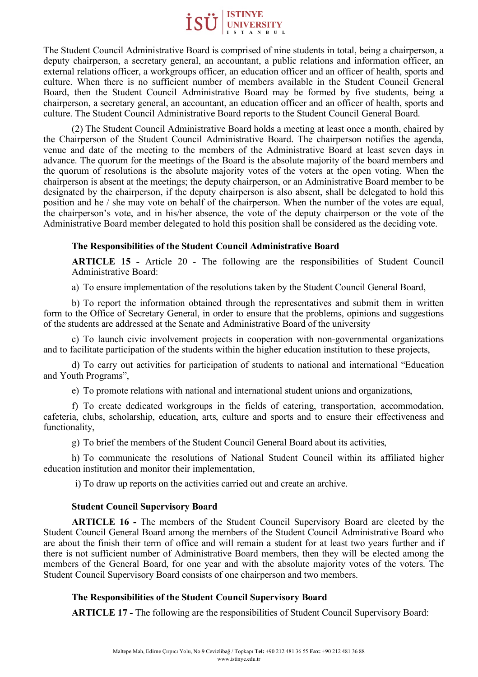

The Student Council Administrative Board is comprised of nine students in total, being a chairperson, a deputy chairperson, a secretary general, an accountant, a public relations and information officer, an external relations officer, a workgroups officer, an education officer and an officer of health, sports and culture. When there is no sufficient number of members available in the Student Council General Board, then the Student Council Administrative Board may be formed by five students, being a chairperson, a secretary general, an accountant, an education officer and an officer of health, sports and culture. The Student Council Administrative Board reports to the Student Council General Board.

(2) The Student Council Administrative Board holds a meeting at least once a month, chaired by the Chairperson of the Student Council Administrative Board. The chairperson notifies the agenda, venue and date of the meeting to the members of the Administrative Board at least seven days in advance. The quorum for the meetings of the Board is the absolute majority of the board members and the quorum of resolutions is the absolute majority votes of the voters at the open voting. When the chairperson is absent at the meetings; the deputy chairperson, or an Administrative Board member to be designated by the chairperson, if the deputy chairperson is also absent, shall be delegated to hold this position and he / she may vote on behalf of the chairperson. When the number of the votes are equal, the chairperson's vote, and in his/her absence, the vote of the deputy chairperson or the vote of the Administrative Board member delegated to hold this position shall be considered as the deciding vote.

### **The Responsibilities of the Student Council Administrative Board**

**ARTICLE 15 -** Article 20 - The following are the responsibilities of Student Council Administrative Board:

a) To ensure implementation of the resolutions taken by the Student Council General Board,

b) To report the information obtained through the representatives and submit them in written form to the Office of Secretary General, in order to ensure that the problems, opinions and suggestions of the students are addressed at the Senate and Administrative Board of the university

c) To launch civic involvement projects in cooperation with non-governmental organizations and to facilitate participation of the students within the higher education institution to these projects,

d) To carry out activities for participation of students to national and international "Education and Youth Programs",

e) To promote relations with national and international student unions and organizations,

f) To create dedicated workgroups in the fields of catering, transportation, accommodation, cafeteria, clubs, scholarship, education, arts, culture and sports and to ensure their effectiveness and functionality,

g) To brief the members of the Student Council General Board about its activities,

h) To communicate the resolutions of National Student Council within its affiliated higher education institution and monitor their implementation,

i) To draw up reports on the activities carried out and create an archive.

### **Student Council Supervisory Board**

**ARTICLE 16 -** The members of the Student Council Supervisory Board are elected by the Student Council General Board among the members of the Student Council Administrative Board who are about the finish their term of office and will remain a student for at least two years further and if there is not sufficient number of Administrative Board members, then they will be elected among the members of the General Board, for one year and with the absolute majority votes of the voters. The Student Council Supervisory Board consists of one chairperson and two members.

### **The Responsibilities of the Student Council Supervisory Board**

**ARTICLE 17 -** The following are the responsibilities of Student Council Supervisory Board: